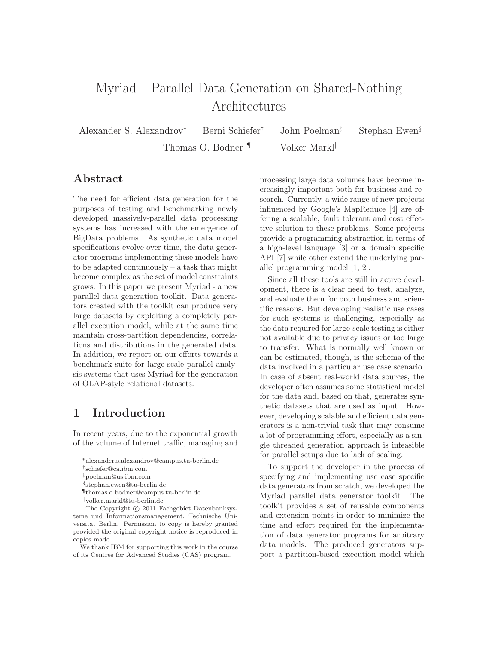# Myriad – Parallel Data Generation on Shared-Nothing Architectures

Alexander S. Alexandrov<sup>∗</sup> Berni Schiefer† John Poelman‡ Stephan Ewen§

Thomas O. Bodner **T** Volker Markl<sup>||</sup>

### Abstract

The need for efficient data generation for the purposes of testing and benchmarking newly developed massively-parallel data processing systems has increased with the emergence of BigData problems. As synthetic data model specifications evolve over time, the data generator programs implementing these models have to be adapted continuously – a task that might become complex as the set of model constraints grows. In this paper we present Myriad - a new parallel data generation toolkit. Data generators created with the toolkit can produce very large datasets by exploiting a completely parallel execution model, while at the same time maintain cross-partition dependencies, correlations and distributions in the generated data. In addition, we report on our efforts towards a benchmark suite for large-scale parallel analysis systems that uses Myriad for the generation of OLAP-style relational datasets.

## 1 Introduction

In recent years, due to the exponential growth of the volume of Internet traffic, managing and processing large data volumes have become increasingly important both for business and research. Currently, a wide range of new projects influenced by Google's MapReduce [4] are offering a scalable, fault tolerant and cost effective solution to these problems. Some projects provide a programming abstraction in terms of a high-level language [3] or a domain specific API [7] while other extend the underlying parallel programming model [1, 2].

Since all these tools are still in active development, there is a clear need to test, analyze, and evaluate them for both business and scientific reasons. But developing realistic use cases for such systems is challenging, especially as the data required for large-scale testing is either not available due to privacy issues or too large to transfer. What is normally well known or can be estimated, though, is the schema of the data involved in a particular use case scenario. In case of absent real-world data sources, the developer often assumes some statistical model for the data and, based on that, generates synthetic datasets that are used as input. However, developing scalable and efficient data generators is a non-trivial task that may consume a lot of programming effort, especially as a single threaded generation approach is infeasible for parallel setups due to lack of scaling.

To support the developer in the process of specifying and implementing use case specific data generators from scratch, we developed the Myriad parallel data generator toolkit. The toolkit provides a set of reusable components and extension points in order to minimize the time and effort required for the implementation of data generator programs for arbitrary data models. The produced generators support a partition-based execution model which

<sup>∗</sup>alexander.s.alexandrov@campus.tu-berlin.de

<sup>†</sup> schiefer@ca.ibm.com

<sup>‡</sup>poelman@us.ibm.com

<sup>§</sup> stephan.ewen@tu-berlin.de

<sup>¶</sup>thomas.o.bodner@campus.tu-berlin.de

 $\mathbb{I}_{\text{volker}.\text{markl@tu-berlin.de}}$ 

The Copyright  $\odot$  2011 Fachgebiet Datenbanksysteme und Informationsmanagement, Technische Universität Berlin. Permission to copy is hereby granted provided the original copyright notice is reproduced in copies made.

We thank IBM for supporting this work in the course of its Centres for Advanced Studies (CAS) program.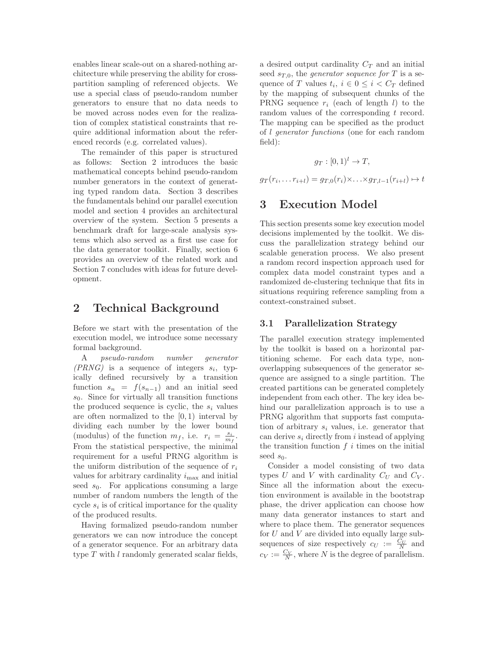enables linear scale-out on a shared-nothing architecture while preserving the ability for crosspartition sampling of referenced objects. We use a special class of pseudo-random number generators to ensure that no data needs to be moved across nodes even for the realization of complex statistical constraints that require additional information about the referenced records (e.g. correlated values).

The remainder of this paper is structured as follows: Section 2 introduces the basic mathematical concepts behind pseudo-random number generators in the context of generating typed random data. Section 3 describes the fundamentals behind our parallel execution model and section 4 provides an architectural overview of the system. Section 5 presents a benchmark draft for large-scale analysis systems which also served as a first use case for the data generator toolkit. Finally, section 6 provides an overview of the related work and Section 7 concludes with ideas for future development.

### 2 Technical Background

Before we start with the presentation of the execution model, we introduce some necessary formal background.

A *pseudo-random number generator*  $(PRNG)$  is a sequence of integers  $s_i$ , typically defined recursively by a transition function  $s_n = f(s_{n-1})$  and an initial seed  $s_0$ . Since for virtually all transition functions the produced sequence is cyclic, the  $s_i$  values are often normalized to the  $[0,1)$  interval by dividing each number by the lower bound (modulus) of the function  $m_f$ , i.e.  $r_i = \frac{s_i}{m_f}$ . From the statistical perspective, the minimal requirement for a useful PRNG algorithm is the uniform distribution of the sequence of  $r_i$ values for arbitrary cardinality  $i_{\text{max}}$  and initial seed  $s_0$ . For applications consuming a large number of random numbers the length of the cycle  $s_i$  is of critical importance for the quality of the produced results.

Having formalized pseudo-random number generators we can now introduce the concept of a generator sequence. For an arbitrary data type  $T$  with  $l$  randomly generated scalar fields,

a desired output cardinality  $C_T$  and an initial seed  $s_{T,0}$ , the *generator sequence for* T is a sequence of T values  $t_i, i \in \{0\} \leq i < C_T$  defined by the mapping of subsequent chunks of the PRNG sequence  $r_i$  (each of length l) to the random values of the corresponding t record. The mapping can be specified as the product of l *generator functions* (one for each random field):

$$
g_T: [0,1)^l \to T,
$$

 $g_T(r_i, \ldots r_{i+l}) = g_{T,0}(r_i) \times \ldots \times g_{T,l-1}(r_{i+l}) \mapsto t$ 

# 3 Execution Model

This section presents some key execution model decisions implemented by the toolkit. We discuss the parallelization strategy behind our scalable generation process. We also present a random record inspection approach used for complex data model constraint types and a randomized de-clustering technique that fits in situations requiring reference sampling from a context-constrained subset.

#### 3.1 Parallelization Strategy

The parallel execution strategy implemented by the toolkit is based on a horizontal partitioning scheme. For each data type, nonoverlapping subsequences of the generator sequence are assigned to a single partition. The created partitions can be generated completely independent from each other. The key idea behind our parallelization approach is to use a PRNG algorithm that supports fast computation of arbitrary  $s_i$  values, i.e. generator that can derive  $s_i$  directly from i instead of applying the transition function  $f$  i times on the initial seed  $s_0$ .

Consider a model consisting of two data types U and V with cardinality  $C_U$  and  $C_V$ . Since all the information about the execution environment is available in the bootstrap phase, the driver application can choose how many data generator instances to start and where to place them. The generator sequences for  $U$  and  $V$  are divided into equally large subsequences of size respectively  $c_U := \frac{C_U}{N}$  and  $c_V := \frac{C_V}{N}$ , where N is the degree of parallelism.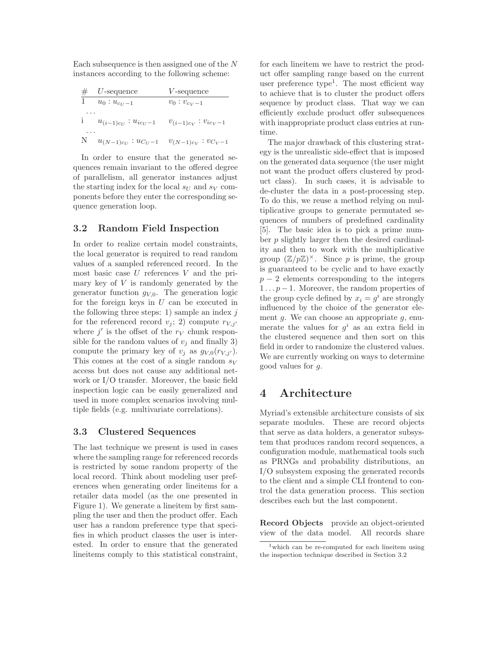Each subsequence is then assigned one of the N instances according to the following scheme:

| # | $U$ -sequence                        | <i>V</i> -sequence          |
|---|--------------------------------------|-----------------------------|
|   | $u_0: u_{c_{II}-1}$                  | $v_0 : v_{c_V-1}$           |
|   | $i \qquad u_{(i-1)c_U} : u_{ic_U-1}$ | $v_{(i-1)c_V} : v_{ic_V-1}$ |
| N | $u_{(N-1)c_U} : u_{C_U-1}$           | $v_{(N-1)c_V}:v_{C_V-1}$    |

In order to ensure that the generated sequences remain invariant to the offered degree of parallelism, all generator instances adjust the starting index for the local  $s_U$  and  $s_V$  components before they enter the corresponding sequence generation loop.

#### 3.2 Random Field Inspection

In order to realize certain model constraints, the local generator is required to read random values of a sampled referenced record. In the most basic case  $U$  references  $V$  and the primary key of  $V$  is randomly generated by the generator function  $g_{V,0}$ . The generation logic for the foreign keys in  $U$  can be executed in the following three steps: 1) sample an index  $j$ for the referenced record  $v_i$ ; 2) compute  $r_{V,i'}$ where  $j'$  is the offset of the  $r_V$  chunk responsible for the random values of  $v_i$  and finally 3) compute the primary key of  $v_i$  as  $q_{V,0}(r_{V,i'})$ . This comes at the cost of a single random  $s_V$ access but does not cause any additional network or I/O transfer. Moreover, the basic field inspection logic can be easily generalized and used in more complex scenarios involving multiple fields (e.g. multivariate correlations).

#### 3.3 Clustered Sequences

The last technique we present is used in cases where the sampling range for referenced records is restricted by some random property of the local record. Think about modeling user preferences when generating order lineitems for a retailer data model (as the one presented in Figure 1). We generate a lineitem by first sampling the user and then the product offer. Each user has a random preference type that specifies in which product classes the user is interested. In order to ensure that the generated lineitems comply to this statistical constraint,

for each lineitem we have to restrict the product offer sampling range based on the current user preference type<sup>1</sup> . The most efficient way to achieve that is to cluster the product offers sequence by product class. That way we can efficiently exclude product offer subsequences with inappropriate product class entries at runtime.

The major drawback of this clustering strategy is the unrealistic side-effect that is imposed on the generated data sequence (the user might not want the product offers clustered by product class). In such cases, it is advisable to de-cluster the data in a post-processing step. To do this, we reuse a method relying on multiplicative groups to generate permutated sequences of numbers of predefined cardinality [5]. The basic idea is to pick a prime number p slightly larger then the desired cardinality and then to work with the multiplicative group  $(\mathbb{Z}/p\mathbb{Z})^{\times}$ . Since p is prime, the group is guaranteed to be cyclic and to have exactly  $p-2$  elements corresponding to the integers  $1 \ldots p-1$ . Moreover, the random properties of the group cycle defined by  $x_i = g^i$  are strongly influenced by the choice of the generator element  $g$ . We can choose an appropriate  $g$ , enumerate the values for  $g^i$  as an extra field in the clustered sequence and then sort on this field in order to randomize the clustered values. We are currently working on ways to determine good values for g.

### 4 Architecture

Myriad's extensible architecture consists of six separate modules. These are record objects that serve as data holders, a generator subsystem that produces random record sequences, a configuration module, mathematical tools such as PRNGs and probability distributions, an I/O subsystem exposing the generated records to the client and a simple CLI frontend to control the data generation process. This section describes each but the last component.

Record Objects provide an object-oriented view of the data model. All records share

<sup>1</sup>which can be re-computed for each lineitem using the inspection technique described in Section 3.2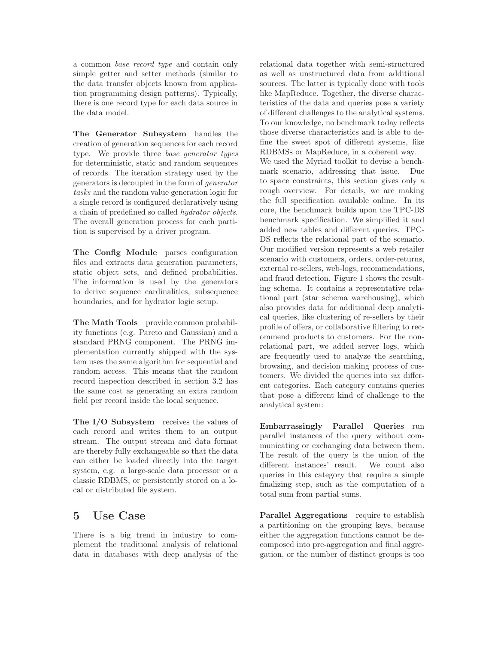a common *base record type* and contain only simple getter and setter methods (similar to the data transfer objects known from application programming design patterns). Typically, there is one record type for each data source in the data model.

The Generator Subsystem handles the creation of generation sequences for each record type. We provide three *base generator types* for deterministic, static and random sequences of records. The iteration strategy used by the generators is decoupled in the form of *generator tasks* and the random value generation logic for a single record is configured declaratively using a chain of predefined so called *hydrator objects*. The overall generation process for each partition is supervised by a driver program.

The Config Module parses configuration files and extracts data generation parameters, static object sets, and defined probabilities. The information is used by the generators to derive sequence cardinalities, subsequence boundaries, and for hydrator logic setup.

The Math Tools provide common probability functions (e.g. Pareto and Gaussian) and a standard PRNG component. The PRNG implementation currently shipped with the system uses the same algorithm for sequential and random access. This means that the random record inspection described in section 3.2 has the same cost as generating an extra random field per record inside the local sequence.

The I/O Subsystem receives the values of each record and writes them to an output stream. The output stream and data format are thereby fully exchangeable so that the data can either be loaded directly into the target system, e.g. a large-scale data processor or a classic RDBMS, or persistently stored on a local or distributed file system.

# 5 Use Case

There is a big trend in industry to complement the traditional analysis of relational data in databases with deep analysis of the relational data together with semi-structured as well as unstructured data from additional sources. The latter is typically done with tools like MapReduce. Together, the diverse characteristics of the data and queries pose a variety of different challenges to the analytical systems. To our knowledge, no benchmark today reflects those diverse characteristics and is able to define the sweet spot of different systems, like RDBMSs or MapReduce, in a coherent way. We used the Myriad toolkit to devise a benchmark scenario, addressing that issue. Due to space constraints, this section gives only a rough overview. For details, we are making the full specification available online. In its core, the benchmark builds upon the TPC-DS benchmark specification. We simplified it and added new tables and different queries. TPC-DS reflects the relational part of the scenario. Our modified version represents a web retailer scenario with customers, orders, order-returns, external re-sellers, web-logs, recommendations, and fraud detection. Figure 1 shows the resulting schema. It contains a representative relational part (star schema warehousing), which also provides data for additional deep analytical queries, like clustering of re-sellers by their profile of offers, or collaborative filtering to recommend products to customers. For the nonrelational part, we added server logs, which are frequently used to analyze the searching, browsing, and decision making process of customers. We divided the queries into *six* different categories. Each category contains queries that pose a different kind of challenge to the analytical system:

Embarrassingly Parallel Queries run parallel instances of the query without communicating or exchanging data between them. The result of the query is the union of the different instances' result. We count also queries in this category that require a simple finalizing step, such as the computation of a total sum from partial sums.

Parallel Aggregations require to establish a partitioning on the grouping keys, because either the aggregation functions cannot be decomposed into pre-aggregation and final aggregation, or the number of distinct groups is too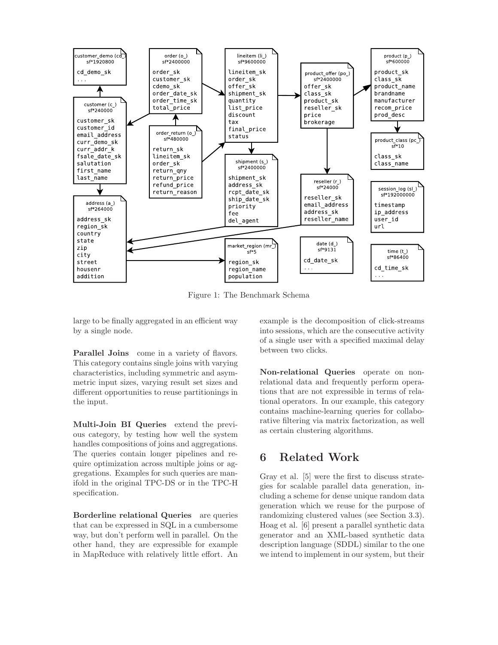

Figure 1: The Benchmark Schema

large to be finally aggregated in an efficient way by a single node.

Parallel Joins come in a variety of flavors. This category contains single joins with varying characteristics, including symmetric and asymmetric input sizes, varying result set sizes and different opportunities to reuse partitionings in the input.

Multi-Join BI Queries extend the previous category, by testing how well the system handles compositions of joins and aggregations. The queries contain longer pipelines and require optimization across multiple joins or aggregations. Examples for such queries are manifold in the original TPC-DS or in the TPC-H specification.

Borderline relational Queries are queries that can be expressed in SQL in a cumbersome way, but don't perform well in parallel. On the other hand, they are expressible for example in MapReduce with relatively little effort. An

example is the decomposition of click-streams into sessions, which are the consecutive activity of a single user with a specified maximal delay between two clicks.

Non-relational Queries operate on nonrelational data and frequently perform operations that are not expressible in terms of relational operators. In our example, this category contains machine-learning queries for collaborative filtering via matrix factorization, as well as certain clustering algorithms.

### 6 Related Work

Gray et al. [5] were the first to discuss strategies for scalable parallel data generation, including a scheme for dense unique random data generation which we reuse for the purpose of randomizing clustered values (see Section 3.3). Hoag et al. [6] present a parallel synthetic data generator and an XML-based synthetic data description language (SDDL) similar to the one we intend to implement in our system, but their